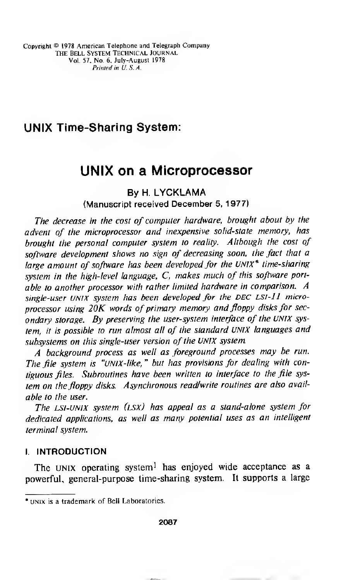## UNIX Time-Sharing System:

# UNIX on a Microprocessor

By H. LYCKLAMA (Manuscript received December 5, 1977)

The decrease in the cost of computer hardware, brought about by the advent of the microprocessor and inexpensive solid-state memory, has brought the personal computer system to reality. Although the cost of software development shows no sign of decreasing soon, the fact that a large amount of software has been developed for the UNIX<sup>\*</sup> time-sharing system in the high-level language, C, makes much of this software portable to another processor with rather limited hardware in comparison. A single-user UNIX system has been developed for the DEC LSI-11 microprocessor using  $20K$  words of primary memory and floppy disks for secondary storage. By preserving the user-system interface of the UNIX system, it is possible to run almost all of the standard UNIX languages and subsystems on this single-user version of the UNIX system.

A background process as well as foreground processes may be run. The file system is "UNIX-like, " but has provisions for dealing with contiguous files. Subroutines have been written to interface to the file system on the floppy disks. Asynchronous read/write routines are also available to the user.

The LSI-UNIX system (lsx) has appeal as a stand-alone system for dedicated applications, as well as many potential uses as an intelligent terminal system.

## I. INTRODUCTION

The UNIX operating system<sup>1</sup> has enjoyed wide acceptance as a powerful, general-purpose time-sharing system. It supports a large

<sup>\*</sup> unix is a trademark of Bell Laboratories.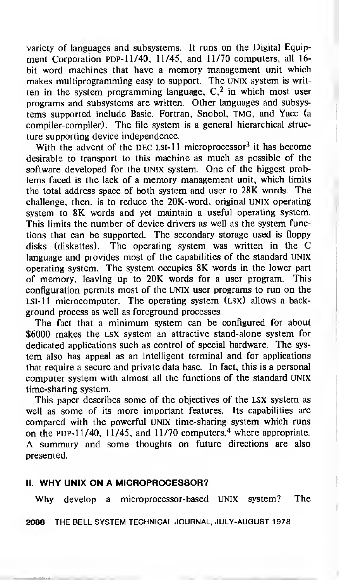variety of languages and subsystems. It runs on the Digital Equipment Corporation PDP-11/40, 11/45, and 11/70 computers, all 16bit word machines that have <sup>a</sup> memory management unit which makes multiprogramming easy to support. The UNIX system is written in the system programming language,  $C<sub>1</sub><sup>2</sup>$  in which most user programs and subsystems are written. Other languages and subsystems supported include Basic, Fortran, Snobol, tmg, and Yacc (a compiler-compiler). The file system is a general hierarchical structure supporting device independence.

With the advent of the DEC LSI-11 microprocessor<sup>3</sup> it has become desirable to transport to this machine as much as possible of the software developed for the UNIX system. One of the biggest problems faced is the lack of a memory management unit, which limits the total address space of both system and user to 28K words. The challenge, then, is to reduce the 20K-word, original UNIX operating system to 8K words and yet maintain a useful operating system. This limits the number of device drivers as well as the system functions that can be supported. The secondary storage used is floppy disks (diskettes). The operating system was written in the C language and provides most of the capabilities of the standard UNIX operating system. The system occupies 8K words in the lower part of memory, leaving up to 20K words for a user program. This configuration permits most of the UNIX user programs to run on the  $LSI-11$  microcomputer. The operating system  $(LSX)$  allows a background process as well as foreground processes.

The fact that <sup>a</sup> minimum system can be configured for about \$6000 makes the lsx system an attractive stand-alone system for dedicated applications such as control of special hardware. The system also has appeal as an intelligent terminal and for applications that require a secure and private data base. In fact, this is a personal computer system with almost all the functions of the standard UNIX time-sharing system.

This paper describes some of the objectives of the lsx system as well as some of its more important features. Its capabilities are compared with the powerful UNIX time-sharing system which runs on the PDP- $11/40$ ,  $11/45$ , and  $11/70$  computers,<sup>4</sup> where appropriate. A summary and some thoughts on future directions are also presented.

## II. WHY UNIX ON A MICROPROCESSOR?

Why develop <sup>a</sup> microprocessor-based UNIX system? The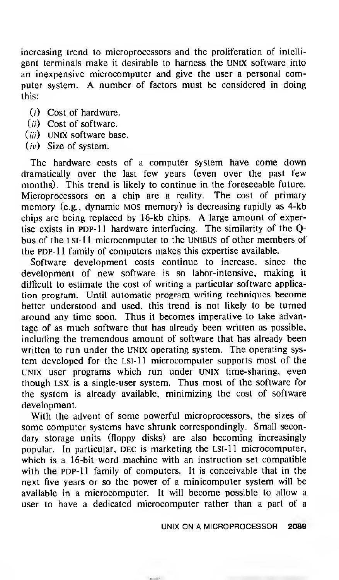increasing trend to microprocessors and the proliferation of intelligent terminals make it desirable to harness the UNIX software into an inexpensive microcomputer and give the user <sup>a</sup> personal computer system. A number of factors must be considered in doing this:

- (/) Cost of hardware.
- $(ii)$  Cost of software.
- $(iii)$  UNIX software base.
- $(iv)$  Size of system.

The hardware costs of <sup>a</sup> computer system have come down dramatically over the last few years (even over the past few months). This trend is likely to continue in the foreseeable future. Microprocessors on a chip are <sup>a</sup> reality. The cost of primary memory (e.g., dynamic mos memory) is decreasing rapidly as 4-kb chips are being replaced by 16-kb chips. A large amount of expertise exists in PDP-11 hardware interfacing. The similarity of the Qbus of the Lst-11 microcomputer to the UNIBUS of other members of the PDP-11 family of computers makes this expertise available.

Software development costs continue to increase, since the development of new software is so labor-intensive, making it difficult to estimate the cost of writing a particular software application program. Until automatic program writing techniques become better understood and used, this trend is not likely to be turned around any time soon. Thus it becomes imperative to take advantage of as much software that has already been written as possible, including the tremendous amount of software that has already been written to run under the UNIX operating system. The operating system developed for the LSI-11 microcomputer supports most of the UNIX user programs which run under UNIX time-sharing, even though lsx is a single-user system. Thus most of the software for the system is already available, minimizing the cost of software development.

With the advent of some powerful microprocessors, the sizes of some computer systems have shrunk correspondingly. Small secondary storage units (floppy disks) are also becoming increasingly popular. In particular, DEC is marketing the LSI-11 microcomputer, which is a 16-bit word machine with an instruction set compatible with the PDP-11 family of computers. It is conceivable that in the next five years or so the power of a minicomputer system will be available in a microcomputer. It will become possible to allow a user to have a dedicated microcomputer rather than a part of a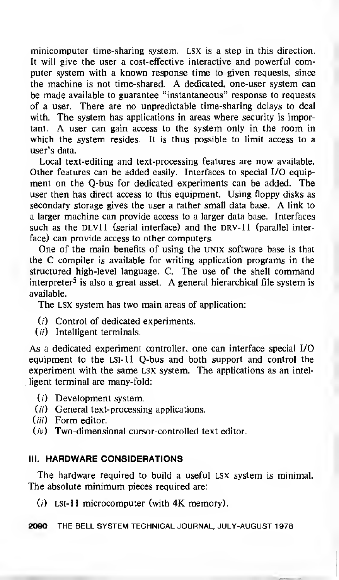minicomputer time-sharing system. LSX is a step in this direction. It will give the user a cost-effective interactive and powerful computer system with a known response time to given requests, since the machine is not time-shared. A dedicated, one-user system can be made available to guarantee "instantaneous" response to requests of a user. There are no unpredictable time-sharing delays to deal with. The system has applications in areas where security is important. A user can gain access to the system only in the room in which the system resides. It is thus possible to limit access to a user's data.

Local text-editing and text-processing features are now available. Other features can be added easily. Interfaces to special I/O equipment on the Q-bus for dedicated experiments can be added. The user then has direct access to this equipment. Using floppy disks as secondary storage gives the user <sup>a</sup> rather small data base. A link to a larger machine can provide access to a larger data base. Interfaces such as the  $DU11$  (serial interface) and the DRV-11 (parallel interface) can provide access to other computers.

One of the main benefits of using the unix software base is that the C compiler is available for writing application programs in the structured high-level language, C. The use of the shell command interpreter<sup>5</sup> is also a great asset. A general hierarchical file system is available.

The LSX system has two main areas of application:

- $(i)$  Control of dedicated experiments.
- $(ii)$  Intelligent terminals.

As a dedicated experiment controller, one can interface special I/O equipment to the LSI-11 Q-bus and both support and control the experiment with the same lsx system. The applications as an intelligent terminal are many-fold:

- $(i)$  Development system.
- $(ii)$  General text-processing applications.
- (*iii*) Form editor.
- $(iv)$  Two-dimensional cursor-controlled text editor.

## III. HARDWARE CONSIDERATIONS

The hardware required to build a useful LSX system is minimal. The absolute minimum pieces required are:

 $(i)$  LSI-11 microcomputer (with 4K memory).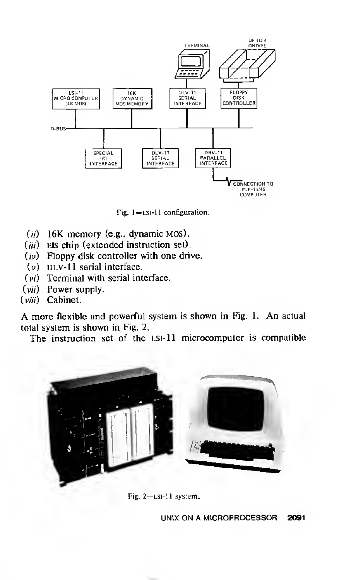

Fig. 1-Lsi-11 configuration.

- $(ii)$  16K memory (e.g., dynamic MOS).
- (*iii*) EIS chip (extended instruction set).
- $(iv)$  Floppy disk controller with one drive.
- $(v)$  DLV-11 serial interface.
- (vi) Terminal with serial interface.
- $(vii)$  Power supply.
- (viii) Cabinet.

A more flexible and powerful system is shown in Fig. 1. An actual total system is shown in Fig. 2.

The instruction set of the LSI-11 microcomputer is compatible



Fig. 2—lsi-11 system.

UNIX ON A MICROPROCESSOR 2091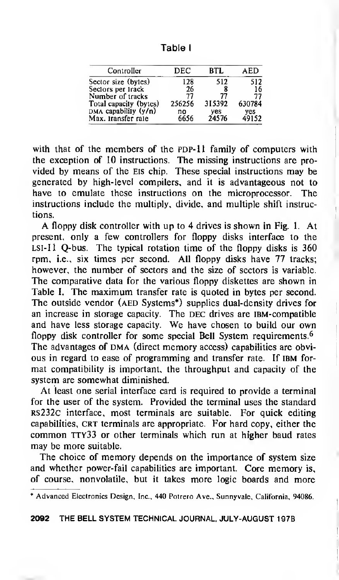Table <sup>I</sup>

| Controller             | DEC    | RTI.   | AED          |
|------------------------|--------|--------|--------------|
| Sector size (bytes)    | 128    | 512    | 512          |
| Sectors per track      | 26     |        | 16           |
| Number of tracks       | 77     | 77     | 77           |
| Total capacity (bytes) | 256256 | 315392 | 630784       |
| DMA capability $(y/n)$ | no     | yes    | yes<br>49152 |
| Max. Iransfer rale     | 6656   | 24576  |              |

with that of the members of the PDP-11 family of computers with the exception of 10 instructions. The missing instructions are provided by means of the Eis chip. These special instructions may be generated by high-level compilers, and it is advantageous not to have to emulate these instructions on the microprocessor. The instructions include the multiply, divide, and multiple shift instructions.

A floppy disk controller with up to <sup>4</sup> drives is shown in Fig. 1. At present, only a few controllers for floppy disks interface to the  $LSI-II$  Q-bus. The typical rotation time of the floppy disks is  $360$ rpm, i.e., six times per second. All floppy disks have 77 tracks; however, the number of sectors and the size of sectors is variable. The comparative data for the various floppy diskettes are shown in Table I. The maximum transfer rate is quoted in bytes per second. The outside vendor (AED Systems<sup>\*</sup>) supplies dual-density drives for an increase in storage capacity. The DEC drives are IBM-compatible and have less storage capacity. We have chosen to build our own floppy disk controller for some special Bell System requirements.<sup>6</sup> The advantages of DMA (direct memory access) capabilities are obvious in regard to ease of programming and transfer rate. If IBM format compatibility is important, the throughput and capacity of the system are somewhat diminished.

At least one serial interface card is required to provide a terminal for the user of the system. Provided the terminal uses the standard rs232c interface, most terminals are suitable. For quick editing capabilities, CRT terminals are appropriate. For hard copy, either the common TTY33 or other terminals which run at higher baud rates may be more suitable.

The choice of memory depends on the importance of system size and whether power-fail capabilities are important. Core memory is, of course, nonvolatile, but it takes more logic boards and more

<sup>\*</sup> Advanced Electronics Design, Inc., 440 Potrero Ave., Sunnyvale, California, 94086.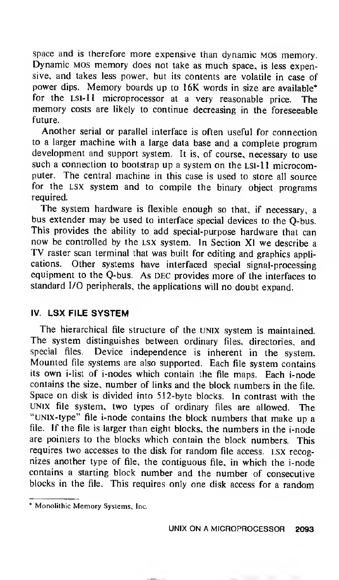space and is therefore more expensive than dynamic mos memory. Dynamic MOS memory does not take as much space, is less expensive, and takes less power, but its contents are volatile in case of power dips. Memory boards up to 16K words in size are available\* for the LSI-11 microprocessor at a very reasonable price. The memory costs are likely to continue decreasing in the foreseeable future.

Another serial or parallel interface is often useful for connection to <sup>a</sup> larger machine with <sup>a</sup> large data base and <sup>a</sup> complete program development and support system. It is, of course, necessary to use such a connection to bootstrap up a system on the LSI-11 microcomputer. The central machine in this case is used to store all source for the lsx system and to compile the binary object programs required.

The system hardware is flexible enough so that, if necessary, <sup>a</sup> bus extender may be used to interface special devices to the Q-bus. This provides the ability to add special-purpose hardware that can now be controlled by the LSX system. In Section XI we describe a TV raster scan terminal that was built for editing and graphics applications. Other systems have interfaced special signal-processing equipment to the Q-bus. As DEC provides more of the interfaces to standard I/O peripherals, the applications will no doubt expand.

## IV. LSX FILE SYSTEM

The hierarchical file structure of the UNIX system is maintained. The system distinguishes between ordinary files, directories, and special files. Device independence is inherent in the system. Mounted file systems are also supported. Each file system contains its own i-list of i-nodes which contain the file maps. Each i-node contains the size, number of links and the block numbers in the file. Space on disk is divided into 512-byte blocks. In contrast with the UNIX file system, two types of ordinary files are allowed. The "UNIX-type" file i-node contains the block numbers that make up a file. If the file is larger than eight blocks, the numbers in the i-node are pointers to the blocks which contain the block numbers. This requires two accesses to the disk for random file access. LSX recognizes another type of file, the contiguous file, in which the i-node contains <sup>a</sup> starting block number and the number of consecutive blocks in the file. This requires only one disk access for a random

<sup>\*</sup> Monolithic Memory Systems, Inc.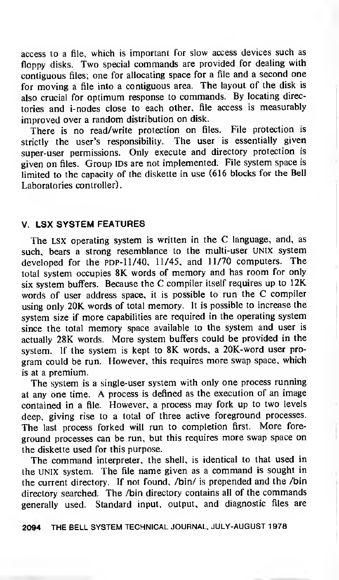access to <sup>a</sup> file, which is important for slow access devices such as floppy disks. Two special commands are provided for dealing with contiguous files; one for allocating space for <sup>a</sup> file and <sup>a</sup> second one for moving <sup>a</sup> file into <sup>a</sup> contiguous area. The layout of the disk is also crucial for optimum response to commands. By locating directories and i-nodes close to each other, file access is measurably improved over a random distribution on disk.

There is no read/write protection on files. File protection is strictly the user's responsibility. The user is essentially given super-user permissions. Only execute and directory protection is given on files. Group IDs are not implemented. File system space is limited to the capacity of the diskette in use (616 blocks for the Bell Laboratories controller).

### V. LSX SYSTEM FEATURES

The LSX operating system is written in the C language, and, as such, bears a strong resemblance to the multi-user UNIX system developed for the PDP-11/40, 11/45, and 11/70 computers. The total system occupies 8K words of memory and has room for only six system buffers. Because the C compiler itself requires up to 12K words of user address space, it is possible to run the C compiler using only 20K words of total memory. It is possible to increase the system size if more capabilities are required in the operating system since the total memory space available to the system and user is actually 28K words. More system buffers could be provided in the system. If the system is kept to 8K words, <sup>a</sup> 20K-word user program could be run. However, this requires more swap space, which is at a premium.

The system is <sup>a</sup> single-user system with only one process running at any one time. A process is defined as the execution of an image contained in <sup>a</sup> file. However, <sup>a</sup> process may fork up to two levels deep, giving rise to a total of three active foreground processes. The last process forked will run to completion first. More foreground processes can be run, but this requires more swap space on the diskette used for this purpose.

The command interpreter, the shell, is identical to that used in the unix system. The file name given as <sup>a</sup> command is sought in the current directory. If not found, /bin/ is prepended and the /bin directory searched. The /bin directory contains all of the commands generally used. Standard input, output, and diagnostic files are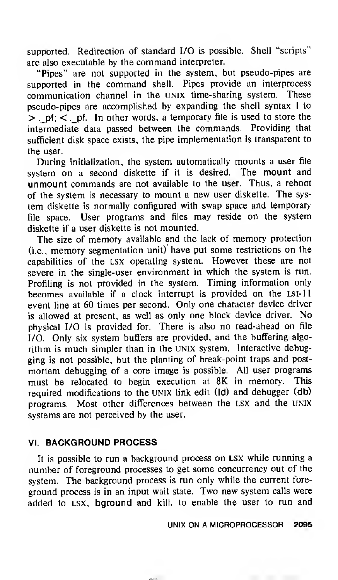supported. Redirection of standard I/O is possible. Shell "scripts" are also executable by the command interpreter.

"Pipes" are not supported in the system, but pseudo-pipes are supported in the command shell. Pipes provide an interprocess communication channel in the UNIX time-sharing system. These pseudo-pipes are accomplished by expanding the shell syntax <sup>I</sup> to  $>$ , pf;  $\lt$ , pf. In other words, a temporary file is used to store the intermediate data passed between the commands. Providing that sufficient disk space exists, the pipe implementation is transparent to the user.

During initialization, the system automatically mounts a user file system on <sup>a</sup> second diskette if it is desired. The mount and unmount commands are not available to the user. Thus, <sup>a</sup> reboot of the system is necessary to mount <sup>a</sup> new user diskette. The system diskette is normally configured with swap space and temporary file space. User programs and files may reside on the system diskette if a user diskette is not mounted.

The size of memory available and the lack of memory protection (i.e., memory segmentation unit) have put some restrictions on the capabilities of the lsx operating system. However these are not severe in the single-user environment in which the system is run. Profiling is not provided in the system. Timing information only becomes available if a clock interrupt is provided on the LSI-11 event line at 60 times per second. Only one character device driver is allowed at present, as well as only one block device driver. No physical I/O is provided for. There is also no read-ahead on file I/O. Only six system buffers are provided, and the buffering algorithm is much simpler than in the UNIX system. Interactive debugging is not possible, but the planting of break-point traps and postmortem debugging of a core image is possible. All user programs must be relocated to begin execution at 8K in memory. This required modifications to the UNIX link edit (Id) and debugger (db) programs. Most other differences between the lsx and the UNIX systems are not perceived by the user.

## VI. BACKGROUND PROCESS

It is possible to run a background process on LSX while running a number of foreground processes to get some concurrency out of the system. The background process is run only while the current foreground process is in an input wait state. Two new system calls were added to LSX, bground and kill, to enable the user to run and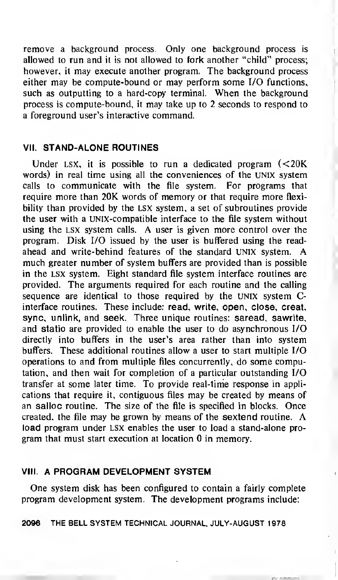remove a background process. Only one background process is allowed to run and it is not allowed to fork another "child" process; however, it may execute another program. The background process either may be compute-bound or may perform some I/O functions, such as outputting to <sup>a</sup> hard-copy terminal. When the background process is compute-bound, it may take up to 2 seconds to respond to a foreground user's interactive command.

### VII. STAND-ALONE ROUTINES

Under LSX, it is possible to run a dedicated program  $\leq 20$ K words) in real time using all the conveniences of the UNIX system calls to communicate with the file system. For programs that require more than 20K words of memory or that require more flexibility than provided by the LSX system, a set of subroutines provide the user with a UNIX-compatible interface to the file system without using the lsx system calls. A user is given more control over the program. Disk I/O issued by the user is buffered using the readahead and write-behind features of the standard UNIX system. much greater number of system buffers are provided than is possible in the lsx system. Eight standard file system interface routines are provided. The arguments required for each routine and the calling sequence are identical to those required by the unix system Cinterface routines. These include: read, write, open, close, creat, sync, unlink, and seek. Three unique routines: saread, sawrite, and statio are provided to enable the user to do asynchronous I/O directly into buffers in the user's area rather than into system buffers. These additional routines allow a user to start multiple I/O operations to and from multiple files concurrently, do some computation, and then wait for completion of a particular outstanding I/O transfer at some later time. To provide real-time response in applications that require it, contiguous files may be created by means of an salloc routine. The size of the file is specified in blocks. Once created, the file may be grown by means of the sextend routine. A load program under lsx enables the user to load a stand-alone program that must start execution at location 0 in memory.

#### VIII. A PROGRAM DEVELOPMENT SYSTEM

One system disk has been configured to contain a fairly complete program development system. The development programs include: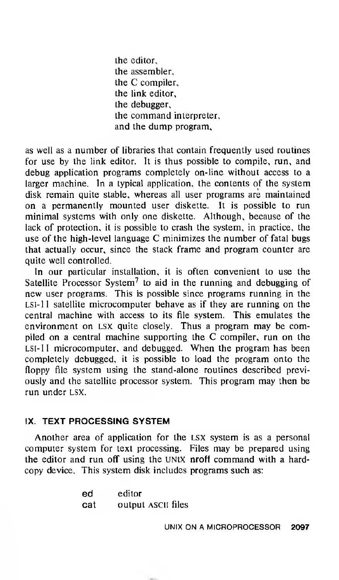the editor, the assembler, the C compiler, the link editor, the debugger, the command interpreter, and the dump program,

as well as <sup>a</sup> number of libraries that contain frequently used routines for use by the link editor. It is thus possible to compile, run, and debug application programs completely on-line without access to a larger machine. In a typical application, the contents of the system disk remain quite stable, whereas all user programs are maintained on a permanently mounted user diskette. It is possible to run minimal systems with only one diskette. Although, because of the lack of protection, it is possible to crash the system, in practice, the use of the high-level language C minimizes the number of fatal bugs that actually occur, since the stack frame and program counter are quite well controlled.

In our particular installation, it is often convenient to use the Satellite Processor System<sup>7</sup> to aid in the running and debugging of new user programs. This is possible since programs running in the LSI- <sup>11</sup> satellite microcomputer behave as if they are running on the central machine with access to its file system. This emulates the environment on LSX quite closely. Thus <sup>a</sup> program may be compiled on <sup>a</sup> central machine supporting the C compiler, run on the LSI- <sup>11</sup> microcomputer, and debugged. When the program has been completely debugged, it is possible to load the program onto the floppy file system using the stand-alone routines described previously and the satellite processor system. This program may then be run under lsx.

#### IX. TEXT PROCESSING SYSTEM

Another area of application for the lsx system is as a personal computer system for text processing. Files may be prepared using the editor and run off using the UNIX nroff command with <sup>a</sup> hardcopy device. This system disk includes programs such as:

| ed  | editor             |  |
|-----|--------------------|--|
| cat | output ASCII files |  |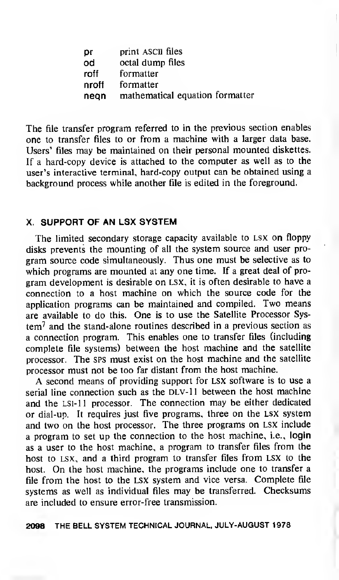| рr    | print ASCII files               |
|-------|---------------------------------|
| od    | octal dump files                |
| roff  | formatter                       |
| nroff | formatter                       |
| nean  | mathematical equation formatter |

The file transfer program referred to in the previous section enables one to transfer files to or from a machine with a larger data base. Users' files may be maintained on their personal mounted diskettes. If a hard-copy device is attached to the computer as well as to the user's interactive terminal, hard-copy output can be obtained using a background process while another file is edited in the foreground.

## X. SUPPORT OF AN LSX SYSTEM

The limited secondary storage capacity available to lsx on floppy disks prevents the mounting of all the system source and user program source code simultaneously. Thus one must be selective as to which programs are mounted at any one time. If a great deal of program development is desirable on lsx, it is often desirable to have <sup>a</sup> connection to a host machine on which the source code for the application programs can be maintained and compiled. Two means are available to do this. One is to use the Satellite Processor Sys $tem<sup>7</sup>$  and the stand-alone routines described in a previous section as a connection program. This enables one to transfer files (including complete file systems) between the host machine and the satellite processor. The sps must exist on the host machine and the satellite processor must not be too far distant from the host machine.

A second means of providing support for LSX software is to use <sup>a</sup> serial line connection such as the DLV-11 between the host machine and the lsi-11 processor. The connection may be either dedicated or dial-up. It requires just five programs, three on the lsx system and two on the host processor. The three programs on lsx include a program to set up the connection to the host machine, i.e., login as a user to the host machine, a program to transfer files from the host to lsx, and a third program to transfer files from LSX to the host. On the host machine, the programs include one to transfer <sup>a</sup> file from the host to the lsx system and vice versa. Complete file systems as well as individual files may be transferred. Checksums are included to ensure error-free transmission.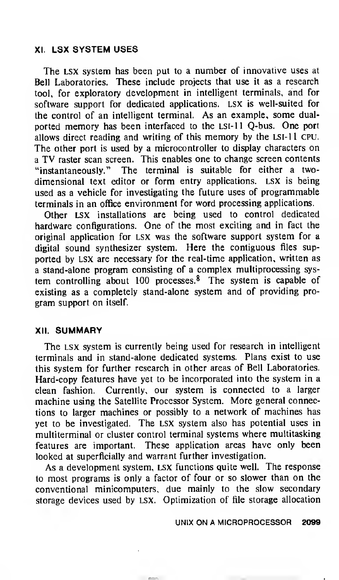## XI. LSX SYSTEM USES

The LSX system has been put to <sup>a</sup> number of innovative uses at Bell Laboratories. These include projects that use it as a research tool, for exploratory development in intelligent terminals, and for software support for dedicated applications. LSX is well-suited for the control of an intelligent terminal. As an example, some dualported memory has been interfaced to the LSI- <sup>11</sup> Q-bus. One port allows direct reading and writing of this memory by the LSI-11 CPU. The other port is used by <sup>a</sup> microcontroller to display characters on <sup>a</sup> TV raster scan screen. This enables one to change screen contents "instantaneously." The terminal is suitable for either a twodimensional text editor or form entry applications, lsx is being used as a vehicle for investigating the future uses of programmable terminals in an office environment for word processing applications.

Other LSX installations are being used to control dedicated hardware configurations. One of the most exciting and in fact the original application for LSX was the software support system for a digital sound synthesizer system. Here the contiguous files supported by LSX are necessary for the real-time application, written as a stand-alone program consisting of a complex multiprocessing system controlling about 100 processes.<sup>8</sup> The system is capable of existing as a completely stand-alone system and of providing program support on itself.

## XII. SUMMARY

The lsx system is currently being used for research in intelligent terminals and in stand-alone dedicated systems. Plans exist to use this system for further research in other areas of Bell Laboratories. Hard-copy features have yet to be incorporated into the system in a clean fashion. Currently, our system is connected to a larger machine using the Satellite Processor System. More general connections to larger machines or possibly to a network of machines has yet to be investigated. The lsx system also has potential uses in multiterminal or cluster control terminal systems where multitasking features are important. These application areas have only been looked at superficially and warrant further investigation.

As a development system, LSX functions quite well. The response to most programs is only <sup>a</sup> factor of four or so slower than on the conventional minicomputers, due mainly to the slow secondary storage devices used by lsx. Optimization of file storage allocation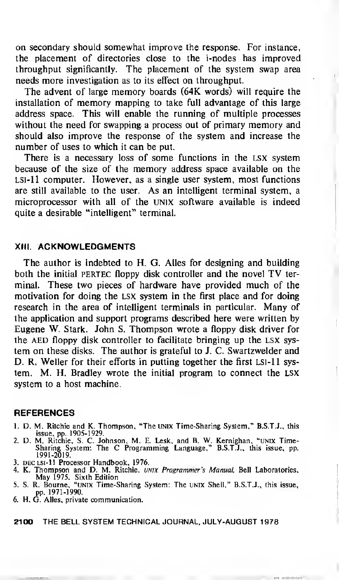on secondary should somewhat improve the response. For instance, the placement of directories close to the i-nodes has improved throughput significantly. The placement of the system swap area needs more investigation as to its effect on throughput.

The advent of large memory boards (64K words) will require the installation of memory mapping to take full advantage of this large address space. This will enable the running of multiple processes without the need for swapping a process out of primary memory and should also improve the response of the system and increase the number of uses to which it can be put.

There is <sup>a</sup> necessary loss of some functions in the lsx system because of the size of the memory address space available on the LSI-11 computer. However, as a single user system, most functions are still available to the user. As an intelligent terminal system, a microprocessor with all of the UNIX software available is indeed quite a desirable "intelligent" terminal.

#### XIII. ACKNOWLEDGMENTS

The author is indebted to H. G. Alles for designing and building both the initial PERTEC floppy disk controller and the novel TV terminal. These two pieces of hardware have provided much of the motivation for doing the lsx system in the first place and for doing research in the area of intelligent terminals in particular. Many of the application and support programs described here were written by Eugene W. Stark. John S. Thompson wrote <sup>a</sup> floppy disk driver for the AED floppy disk controller to facilitate bringing up the LSX system on these disks. The author is grateful to J. C. Swartzwelder and D. R. Weller for their efforts in putting together the first LSI-11 system. M. H. Bradley wrote the initial program to connect the LSX system to a host machine.

#### **REFERENCES**

- 1. D. M. Ritchie and K. Thompson, "The UNIX Time-Sharing System," B.S.T.J., this<br>issue, pp. 1905-1929.<br>2. D. M. Ritchie, S. C. Johnson, M. E. Lesk, and B. W. Kernighan, "UNIX Time-<br>Sharing System: The C Programming Languag
- 1991-2019.
- 3. dec lsi-11 Processor Handbook, 1976.
- 4. K. Thompson and D. M. Ritchie, UNIX Programmer's Manual, Bell Laboratories, May 1975. Sixth Edition 5. S. R. Bourne, "unix Time-Sharing System: The unix Shell," B.S.T.J., this issue,
- pp. 1971-1990.
- 6. H. G. Alles, private communication.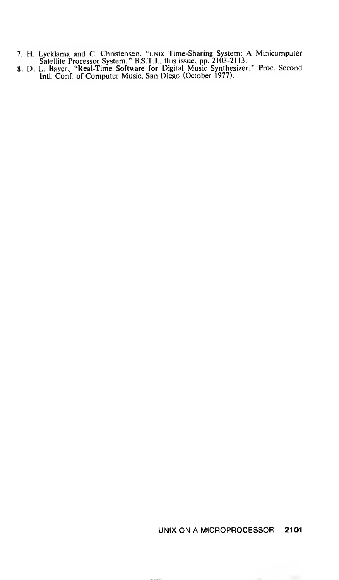- H. Lycklama and C. Christensen. "unix Time-Sharing System: A Minicomputer Satellite Processor System," B.S.T.J., this issue, pp. 2103-2113. D. L. Bayer, "Real-Time Software for Digital Music Synthesizer," Proc. Second
- Intl. Conf. of Computer Music, San Diego (October 1977).

### UNIX ON A MICROPROCESSOR 2101